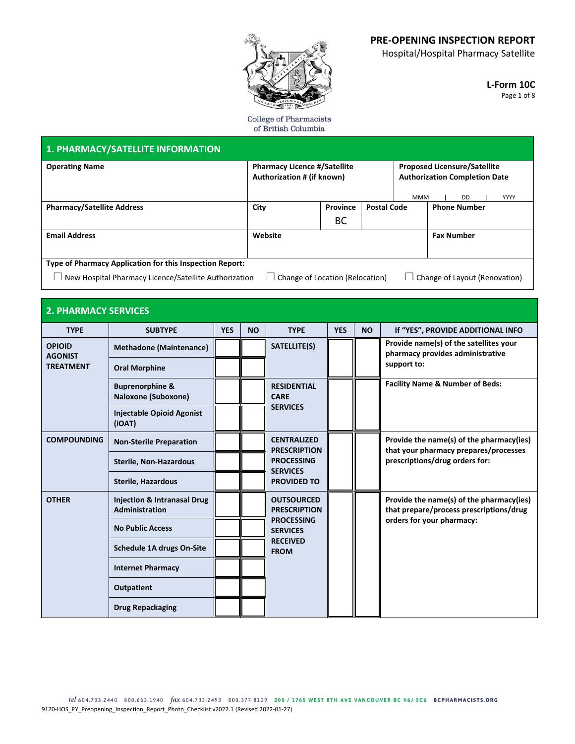Hospital/Hospital Pharmacy Satellite

**L-Form 10C** Page 1 of 8

College of Pharmacists of British Columbia

| <b>1. PHARMACY/SATELLITE INFORMATION</b>                                                                                                                                              |                                |            |                                                                   |                    |                    |                                                                                                                       |                     |                                                                            |
|---------------------------------------------------------------------------------------------------------------------------------------------------------------------------------------|--------------------------------|------------|-------------------------------------------------------------------|--------------------|--------------------|-----------------------------------------------------------------------------------------------------------------------|---------------------|----------------------------------------------------------------------------|
| <b>Operating Name</b>                                                                                                                                                                 |                                |            | <b>Pharmacy Licence #/Satellite</b><br>Authorization # (if known) |                    |                    | <b>Proposed Licensure/Satellite</b><br><b>Authorization Completion Date</b><br><b>YYYY</b><br><b>MMM</b><br><b>DD</b> |                     |                                                                            |
| <b>Pharmacy/Satellite Address</b>                                                                                                                                                     |                                | City       |                                                                   | Province           | <b>Postal Code</b> |                                                                                                                       | <b>Phone Number</b> |                                                                            |
|                                                                                                                                                                                       |                                |            |                                                                   |                    | BC                 |                                                                                                                       |                     |                                                                            |
| <b>Email Address</b>                                                                                                                                                                  |                                |            |                                                                   | Website            |                    |                                                                                                                       |                     | <b>Fax Number</b>                                                          |
| Type of Pharmacy Application for this Inspection Report:<br>New Hospital Pharmacy Licence/Satellite Authorization<br>Change of Layout (Renovation)<br>Change of Location (Relocation) |                                |            |                                                                   |                    |                    |                                                                                                                       |                     |                                                                            |
| <b>2. PHARMACY SERVICES</b>                                                                                                                                                           |                                |            |                                                                   |                    |                    |                                                                                                                       |                     |                                                                            |
| <b>TYPE</b>                                                                                                                                                                           | <b>SUBTYPE</b>                 | <b>YES</b> | <b>NO</b>                                                         | <b>TYPE</b>        | <b>YES</b>         | <b>NO</b>                                                                                                             |                     | If "YES", PROVIDE ADDITIONAL INFO                                          |
| <b>OPIOID</b><br><b>AGONIST</b>                                                                                                                                                       | <b>Methadone (Maintenance)</b> |            |                                                                   | SATELLITE(S)       |                    |                                                                                                                       |                     | Provide name(s) of the satellites your<br>pharmacy provides administrative |
| <b>TREATMENT</b>                                                                                                                                                                      | <b>Oral Morphine</b>           |            |                                                                   |                    |                    |                                                                                                                       | support to:         |                                                                            |
|                                                                                                                                                                                       | <b>Bunrenorphine &amp;</b>     |            |                                                                   | <b>RESIDENTIAL</b> |                    |                                                                                                                       |                     | <b>Facility Name &amp; Number of Beds:</b>                                 |

|                    | <b>Buprenorphine &amp;</b><br>Naloxone (Suboxone)               |  | <b>RESIDENTIAL</b><br><b>CARE</b><br><b>SERVICES</b>                                                               |  |  | Facility Name & Number of Beds:                                                                                  |
|--------------------|-----------------------------------------------------------------|--|--------------------------------------------------------------------------------------------------------------------|--|--|------------------------------------------------------------------------------------------------------------------|
|                    | <b>Injectable Opioid Agonist</b><br>(iOAT)                      |  |                                                                                                                    |  |  |                                                                                                                  |
| <b>COMPOUNDING</b> | <b>Non-Sterile Preparation</b>                                  |  | <b>CENTRALIZED</b><br><b>PRESCRIPTION</b>                                                                          |  |  | Provide the name(s) of the pharmacy(ies)<br>that your pharmacy prepares/processes                                |
|                    | <b>Sterile, Non-Hazardous</b>                                   |  | <b>PROCESSING</b><br><b>SERVICES</b>                                                                               |  |  | prescriptions/drug orders for:                                                                                   |
|                    | <b>Sterile, Hazardous</b>                                       |  | <b>PROVIDED TO</b>                                                                                                 |  |  |                                                                                                                  |
| <b>OTHER</b>       | <b>Injection &amp; Intranasal Drug</b><br><b>Administration</b> |  | <b>OUTSOURCED</b><br><b>PRESCRIPTION</b><br><b>PROCESSING</b><br><b>SERVICES</b><br><b>RECEIVED</b><br><b>FROM</b> |  |  | Provide the name(s) of the pharmacy(ies)<br>that prepare/process prescriptions/drug<br>orders for your pharmacy: |
|                    | <b>No Public Access</b>                                         |  |                                                                                                                    |  |  |                                                                                                                  |
|                    | <b>Schedule 1A drugs On-Site</b>                                |  |                                                                                                                    |  |  |                                                                                                                  |
|                    | <b>Internet Pharmacy</b>                                        |  |                                                                                                                    |  |  |                                                                                                                  |
|                    | Outpatient                                                      |  |                                                                                                                    |  |  |                                                                                                                  |
|                    | <b>Drug Repackaging</b>                                         |  |                                                                                                                    |  |  |                                                                                                                  |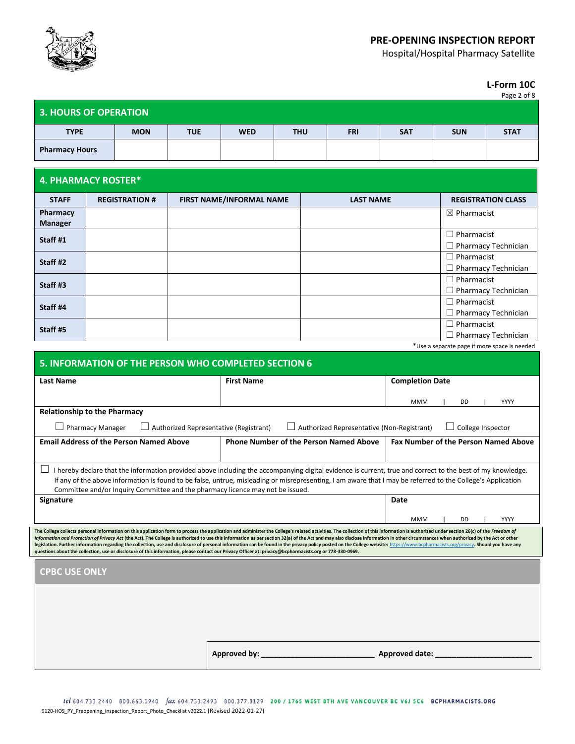

Hospital/Hospital Pharmacy Satellite

**L-Form 10C** Page 2 of 8

| <b>3. HOURS OF OPERATION</b> |            |            |            |            |            |            |            |             |
|------------------------------|------------|------------|------------|------------|------------|------------|------------|-------------|
| <b>TYPE</b>                  | <b>MON</b> | <b>TUE</b> | <b>WED</b> | <b>THU</b> | <b>FRI</b> | <b>SAT</b> | <b>SUN</b> | <b>STAT</b> |
| <b>Pharmacy Hours</b>        |            |            |            |            |            |            |            |             |

### **4. PHARMACY ROSTER\***

| <b>STAFF</b>   | <b>REGISTRATION #</b> | <b>FIRST NAME/INFORMAL NAME</b> | <b>LAST NAME</b> | <b>REGISTRATION CLASS</b>  |
|----------------|-----------------------|---------------------------------|------------------|----------------------------|
| Pharmacy       |                       |                                 |                  | $\boxtimes$ Pharmacist     |
| <b>Manager</b> |                       |                                 |                  |                            |
| Staff #1       |                       |                                 |                  | $\Box$ Pharmacist          |
|                |                       |                                 |                  | $\Box$ Pharmacy Technician |
| Staff #2       |                       |                                 |                  | $\Box$ Pharmacist          |
|                |                       |                                 |                  | $\Box$ Pharmacy Technician |
| Staff #3       |                       |                                 |                  | $\Box$ Pharmacist          |
|                |                       |                                 |                  | $\Box$ Pharmacy Technician |
| Staff #4       |                       |                                 |                  | $\Box$ Pharmacist          |
|                |                       |                                 |                  | $\Box$ Pharmacy Technician |
| Staff #5       |                       |                                 |                  | $\Box$ Pharmacist          |
|                |                       |                                 |                  | $\Box$ Pharmacy Technician |

\*Use a separate page if more space is needed

| <b>Last Name</b>                                                                                                                                                                                                                                                                                                                                                                                                                                                                                                                                                                                                                                                                                                                                                                                                                                              | <b>First Name</b>                             |                                             |  |  |  |  |  |  |  |  |
|---------------------------------------------------------------------------------------------------------------------------------------------------------------------------------------------------------------------------------------------------------------------------------------------------------------------------------------------------------------------------------------------------------------------------------------------------------------------------------------------------------------------------------------------------------------------------------------------------------------------------------------------------------------------------------------------------------------------------------------------------------------------------------------------------------------------------------------------------------------|-----------------------------------------------|---------------------------------------------|--|--|--|--|--|--|--|--|
|                                                                                                                                                                                                                                                                                                                                                                                                                                                                                                                                                                                                                                                                                                                                                                                                                                                               |                                               | <b>Completion Date</b>                      |  |  |  |  |  |  |  |  |
|                                                                                                                                                                                                                                                                                                                                                                                                                                                                                                                                                                                                                                                                                                                                                                                                                                                               |                                               | YYYY<br><b>MMM</b><br>DD                    |  |  |  |  |  |  |  |  |
| <b>Relationship to the Pharmacy</b>                                                                                                                                                                                                                                                                                                                                                                                                                                                                                                                                                                                                                                                                                                                                                                                                                           |                                               |                                             |  |  |  |  |  |  |  |  |
| College Inspector<br><b>Pharmacy Manager</b><br>$\perp$ Authorized Representative (Registrant)<br>Authorized Representative (Non-Registrant)                                                                                                                                                                                                                                                                                                                                                                                                                                                                                                                                                                                                                                                                                                                  |                                               |                                             |  |  |  |  |  |  |  |  |
| <b>Email Address of the Person Named Above</b>                                                                                                                                                                                                                                                                                                                                                                                                                                                                                                                                                                                                                                                                                                                                                                                                                | <b>Phone Number of the Person Named Above</b> | <b>Fax Number of the Person Named Above</b> |  |  |  |  |  |  |  |  |
| I hereby declare that the information provided above including the accompanying digital evidence is current, true and correct to the best of my knowledge.<br>If any of the above information is found to be false, untrue, misleading or misrepresenting, I am aware that I may be referred to the College's Application<br>Committee and/or Inquiry Committee and the pharmacy licence may not be issued.                                                                                                                                                                                                                                                                                                                                                                                                                                                   |                                               |                                             |  |  |  |  |  |  |  |  |
| Signature                                                                                                                                                                                                                                                                                                                                                                                                                                                                                                                                                                                                                                                                                                                                                                                                                                                     |                                               | Date                                        |  |  |  |  |  |  |  |  |
|                                                                                                                                                                                                                                                                                                                                                                                                                                                                                                                                                                                                                                                                                                                                                                                                                                                               |                                               | <b>MMM</b><br>DD<br>YYYY                    |  |  |  |  |  |  |  |  |
| The College collects personal information on this application form to process the application and administer the College's related activities. The collection of this information is authorized under section 26(c) of the Fre<br>Information and Protection of Privacy Act (the Act). The College is authorized to use this information as per section 32(a) of the Act and may also disclose information in other circumstances when authorized by the Act or<br>legislation. Further information regarding the collection, use and disclosure of personal information can be found in the privacy policy posted on the College website: https://www.bcpharmacists.org/privacy. Should you have<br>questions about the collection, use or disclosure of this information, please contact our Privacy Officer at: privacy@bcpharmacists.org or 778-330-0969. |                                               |                                             |  |  |  |  |  |  |  |  |
| <b>CPBC USE ONLY</b>                                                                                                                                                                                                                                                                                                                                                                                                                                                                                                                                                                                                                                                                                                                                                                                                                                          |                                               |                                             |  |  |  |  |  |  |  |  |
|                                                                                                                                                                                                                                                                                                                                                                                                                                                                                                                                                                                                                                                                                                                                                                                                                                                               |                                               |                                             |  |  |  |  |  |  |  |  |
|                                                                                                                                                                                                                                                                                                                                                                                                                                                                                                                                                                                                                                                                                                                                                                                                                                                               |                                               |                                             |  |  |  |  |  |  |  |  |
|                                                                                                                                                                                                                                                                                                                                                                                                                                                                                                                                                                                                                                                                                                                                                                                                                                                               |                                               |                                             |  |  |  |  |  |  |  |  |
|                                                                                                                                                                                                                                                                                                                                                                                                                                                                                                                                                                                                                                                                                                                                                                                                                                                               |                                               |                                             |  |  |  |  |  |  |  |  |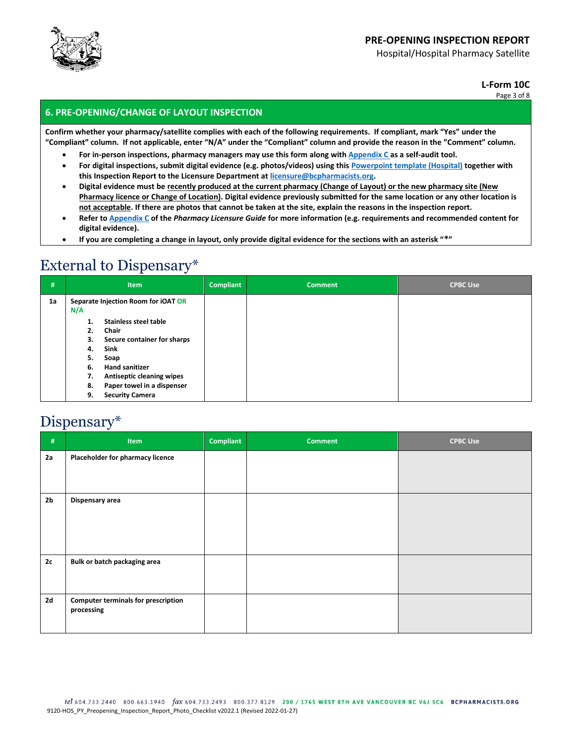

Hospital/Hospital Pharmacy Satellite

**L-Form 10C**

Page 3 of 8

### **6. PRE-OPENING/CHANGE OF LAYOUT INSPECTION**

**Confirm whether your pharmacy/satellite complies with each of the following requirements. If compliant, mark "Yes" under the "Compliant" column. If not applicable, enter "N/A" under the "Compliant" column and provide the reason in the "Comment" column.**

- **For in-person inspections, pharmacy managers may use this form along wit[h Appendix C](http://library.bcpharmacists.org/3_Registration_Licensure/5237-Pharmacy-Licensure-Guide.pdf#page=154) as a self-audit tool.**
- **For digital inspections, submit digital evidence (e.g. photos/videos) using this [Powerpoint template \(Hospital\)](https://www.bcpharmacists.org/library/7_Forms/7-3_Pharmacy/9131-Hospital_Preopening_Inspection_Digital_Evidence_Form.pptx) together with this Inspection Report to the Licensure Department a[t licensure@bcpharmacists.org.](mailto:licensure@bcpharmacists.org)**
- **Digital evidence must be recently produced at the current pharmacy (Change of Layout) or the new pharmacy site (New Pharmacy licence or Change of Location). Digital evidence previously submitted for the same location or any other location is not acceptable. If there are photos that cannot be taken at the site, explain the reasons in the inspection report.**
- **Refer t[o Appendix C](http://library.bcpharmacists.org/3_Registration_Licensure/5237-Pharmacy-Licensure-Guide.pdf#page=154) of the** *Pharmacy Licensure Guide* **for more information (e.g. requirements and recommended content for digital evidence).**
- **If you are completing a change in layout, only provide digital evidence for the sections with an asterisk "\*"**

### External to Dispensary\*

| #  | <b>Item</b>                                                                                                                                                                                                                                                                                     | <b>Compliant</b> | <b>Comment</b> | <b>CPBC Use</b> |
|----|-------------------------------------------------------------------------------------------------------------------------------------------------------------------------------------------------------------------------------------------------------------------------------------------------|------------------|----------------|-----------------|
| 1a | Separate Injection Room for iOAT OR<br>N/A<br>Stainless steel table<br>1.<br>Chair<br>2.<br>Secure container for sharps<br>З.<br>Sink<br>4.<br>5.<br>Soap<br><b>Hand sanitizer</b><br>6.<br>Antiseptic cleaning wipes<br>7.<br>Paper towel in a dispenser<br>8.<br><b>Security Camera</b><br>9. |                  |                |                 |

### Dispensary\*

| $\#$           | <b>Item</b>                                              | <b>Compliant</b> | <b>Comment</b> | <b>CPBC Use</b> |
|----------------|----------------------------------------------------------|------------------|----------------|-----------------|
| 2a             | Placeholder for pharmacy licence                         |                  |                |                 |
| 2 <sub>b</sub> | Dispensary area                                          |                  |                |                 |
| 2c             | Bulk or batch packaging area                             |                  |                |                 |
| 2d             | <b>Computer terminals for prescription</b><br>processing |                  |                |                 |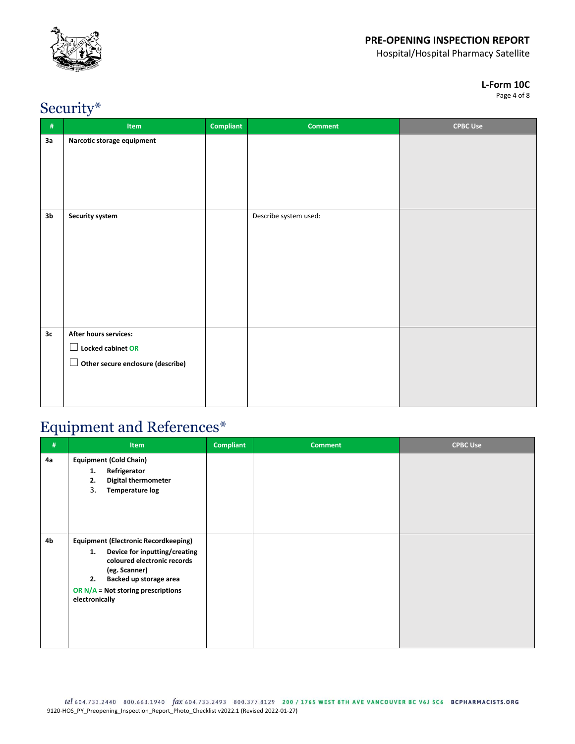

Hospital/Hospital Pharmacy Satellite

#### **L-Form 10C**

Page 4 of 8

## Security\*

| $\#$           | ◡<br>Item                                                                                            | <b>Compliant</b> | <b>Comment</b>        | <b>CPBC Use</b> |
|----------------|------------------------------------------------------------------------------------------------------|------------------|-----------------------|-----------------|
| 3a             | Narcotic storage equipment                                                                           |                  |                       |                 |
| 3 <sub>b</sub> | <b>Security system</b>                                                                               |                  | Describe system used: |                 |
| 3c             | After hours services:<br>Locked cabinet OR<br>$\mathbf{L}$<br>Other secure enclosure (describe)<br>ப |                  |                       |                 |

### Equipment and References\*

| #  | <b>Item</b>                                                                                                                                                                                                                  | <b>Compliant</b> | <b>Comment</b> | <b>CPBC Use</b> |
|----|------------------------------------------------------------------------------------------------------------------------------------------------------------------------------------------------------------------------------|------------------|----------------|-----------------|
| 4a | <b>Equipment (Cold Chain)</b><br>Refrigerator<br>1.<br><b>Digital thermometer</b><br>2.<br>3.<br>Temperature log                                                                                                             |                  |                |                 |
| 4b | <b>Equipment (Electronic Recordkeeping)</b><br>Device for inputting/creating<br>1.<br>coloured electronic records<br>(eg. Scanner)<br>Backed up storage area<br>2.<br>OR $N/A$ = Not storing prescriptions<br>electronically |                  |                |                 |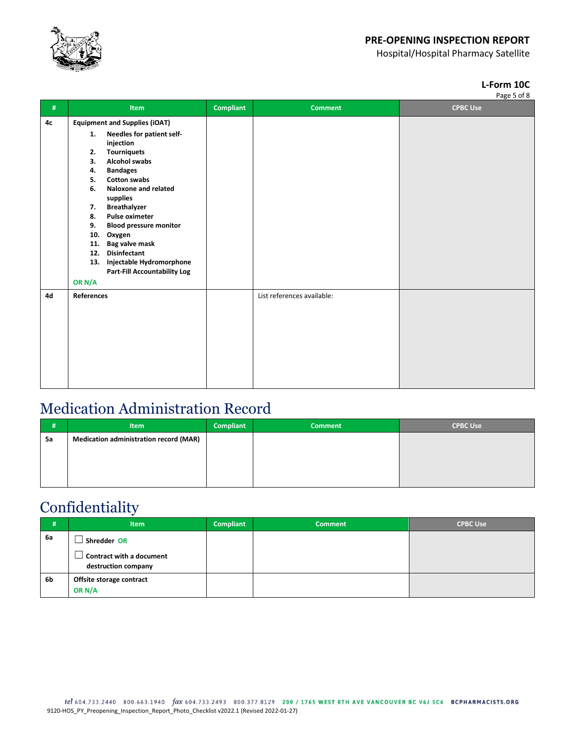

Hospital/Hospital Pharmacy Satellite

### **L-Form 10C**

| #  | Item                                                                                                                                                                                                                                                                                                                                                                                                                                                                                                          | <b>Compliant</b> | <b>Comment</b>             | rage 5 01 o<br><b>CPBC Use</b> |
|----|---------------------------------------------------------------------------------------------------------------------------------------------------------------------------------------------------------------------------------------------------------------------------------------------------------------------------------------------------------------------------------------------------------------------------------------------------------------------------------------------------------------|------------------|----------------------------|--------------------------------|
| 4с | <b>Equipment and Supplies (iOAT)</b><br>Needles for patient self-<br>1.<br>injection<br><b>Tourniquets</b><br>2.<br><b>Alcohol swabs</b><br>3.<br><b>Bandages</b><br>4.<br><b>Cotton swabs</b><br>5.<br>Naloxone and related<br>6.<br>supplies<br><b>Breathalyzer</b><br>7.<br><b>Pulse oximeter</b><br>8.<br>9.<br><b>Blood pressure monitor</b><br>10.<br>Oxygen<br>Bag valve mask<br>11.<br><b>Disinfectant</b><br>12.<br>Injectable Hydromorphone<br>13.<br><b>Part-Fill Accountability Log</b><br>OR N/A |                  |                            |                                |
| 4d | <b>References</b>                                                                                                                                                                                                                                                                                                                                                                                                                                                                                             |                  | List references available: |                                |

# Medication Administration Record

| #  | <b>Item</b>                                   | <b>Compliant</b> | <b>Comment</b> | <b>CPBC Use</b> |
|----|-----------------------------------------------|------------------|----------------|-----------------|
| 5a | <b>Medication administration record (MAR)</b> |                  |                |                 |
|    |                                               |                  |                |                 |
|    |                                               |                  |                |                 |
|    |                                               |                  |                |                 |

# Confidentiality

| #  | <b>Item</b>                                     | <b>Compliant</b> | <b>Comment</b> | <b>CPBC Use</b> |
|----|-------------------------------------------------|------------------|----------------|-----------------|
| 6а | Shredder OR                                     |                  |                |                 |
|    | Contract with a document<br>destruction company |                  |                |                 |
| 6b | Offsite storage contract<br>OR N/A              |                  |                |                 |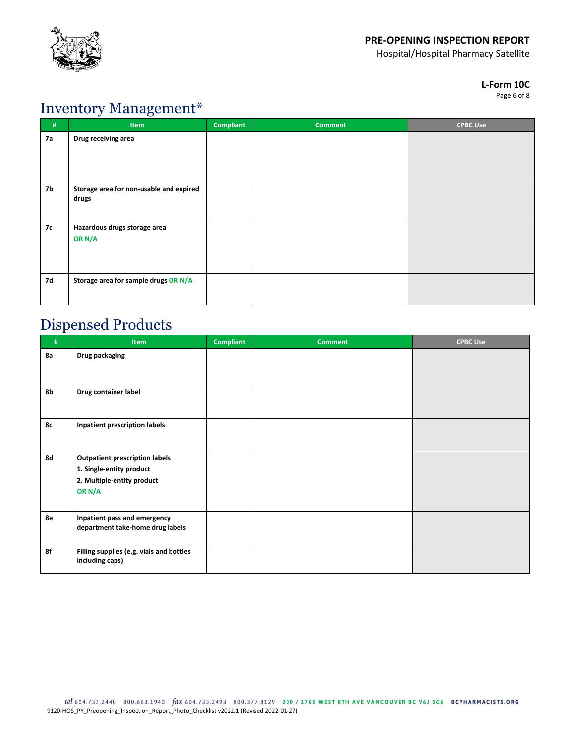![](_page_5_Picture_0.jpeg)

Hospital/Hospital Pharmacy Satellite

#### **L-Form 10C**

Page 6 of 8

### Inventory Management\*

| #  | ັ<br>$\tilde{\phantom{a}}$<br><b>Item</b>        | <b>Compliant</b> | <b>Comment</b> | <b>CPBC Use</b> |
|----|--------------------------------------------------|------------------|----------------|-----------------|
| 7а | Drug receiving area                              |                  |                |                 |
| 7b | Storage area for non-usable and expired<br>drugs |                  |                |                 |
| 7с | Hazardous drugs storage area<br>OR N/A           |                  |                |                 |
| 7d | Storage area for sample drugs OR N/A             |                  |                |                 |

## Dispensed Products

| #  | Item                                                                                                      | <b>Compliant</b> | <b>Comment</b> | <b>CPBC Use</b> |
|----|-----------------------------------------------------------------------------------------------------------|------------------|----------------|-----------------|
| 8a | Drug packaging                                                                                            |                  |                |                 |
|    |                                                                                                           |                  |                |                 |
| 8b | Drug container label                                                                                      |                  |                |                 |
| 8c | Inpatient prescription labels                                                                             |                  |                |                 |
| 8d | <b>Outpatient prescription labels</b><br>1. Single-entity product<br>2. Multiple-entity product<br>OR N/A |                  |                |                 |
| 8e | Inpatient pass and emergency<br>department take-home drug labels                                          |                  |                |                 |
| 8f | Filling supplies (e.g. vials and bottles<br>including caps)                                               |                  |                |                 |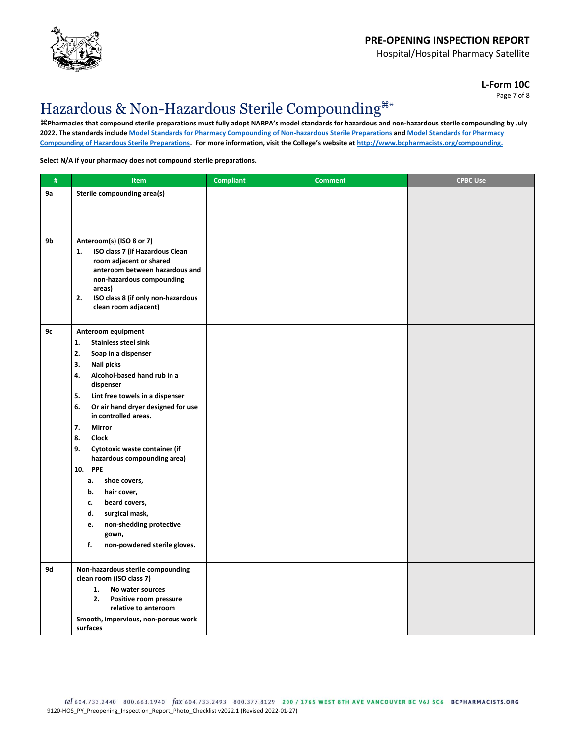![](_page_6_Picture_0.jpeg)

Hospital/Hospital Pharmacy Satellite

**L-Form 10C** Page 7 of 8

# Hazardous & Non-Hazardous Sterile Compounding\*

**Pharmacies that compound sterile preparations must fully adopt NARPA's model standards for hazardous and non-hazardous sterile compounding by July 2022. The standards includ[e Model Standards for Pharmacy Compounding of Non-hazardous Sterile Preparations](http://napra.ca/sites/default/files/2017-09/Mdl_Stnds_Pharmacy_Compounding_NonHazardous_Sterile_Preparations_Nov2016_Revised_b.pdf) an[d Model Standards for Pharmacy](https://napra.ca/sites/default/files/2017-09/Mdl_Stnds_Pharmacy_Compounding_Hazardous_Sterile_Preparations_Nov2016_Revised_b.pdf)  [Compounding of Hazardous Sterile Preparations](https://napra.ca/sites/default/files/2017-09/Mdl_Stnds_Pharmacy_Compounding_Hazardous_Sterile_Preparations_Nov2016_Revised_b.pdf). For more information, visit the College's website at [http://www.bcpharmacists.org/compounding.](http://www.bcpharmacists.org/compounding)**

#### **Select N/A if your pharmacy does not compound sterile preparations.**

| $\#$ | Item                                                                              | <b>Compliant</b> | <b>Comment</b> | <b>CPBC Use</b> |
|------|-----------------------------------------------------------------------------------|------------------|----------------|-----------------|
| 9а   | Sterile compounding area(s)                                                       |                  |                |                 |
|      |                                                                                   |                  |                |                 |
|      |                                                                                   |                  |                |                 |
| 9b   | Anteroom(s) (ISO 8 or 7)                                                          |                  |                |                 |
|      | ISO class 7 (if Hazardous Clean<br>1.<br>room adjacent or shared                  |                  |                |                 |
|      | anteroom between hazardous and                                                    |                  |                |                 |
|      | non-hazardous compounding<br>areas)                                               |                  |                |                 |
|      | 2.<br>ISO class 8 (if only non-hazardous                                          |                  |                |                 |
|      | clean room adjacent)                                                              |                  |                |                 |
| 9c   | Anteroom equipment                                                                |                  |                |                 |
|      | 1.<br><b>Stainless steel sink</b>                                                 |                  |                |                 |
|      | 2.<br>Soap in a dispenser<br>3.<br>Nail picks                                     |                  |                |                 |
|      | 4.<br>Alcohol-based hand rub in a                                                 |                  |                |                 |
|      | dispenser                                                                         |                  |                |                 |
|      | 5.<br>Lint free towels in a dispenser<br>6.<br>Or air hand dryer designed for use |                  |                |                 |
|      | in controlled areas.                                                              |                  |                |                 |
|      | 7.<br>Mirror                                                                      |                  |                |                 |
|      | 8.<br><b>Clock</b><br>9.<br>Cytotoxic waste container (if                         |                  |                |                 |
|      | hazardous compounding area)                                                       |                  |                |                 |
|      | 10. PPE                                                                           |                  |                |                 |
|      | shoe covers,<br>а.<br>b.<br>hair cover,                                           |                  |                |                 |
|      | beard covers,<br>c.                                                               |                  |                |                 |
|      | d.<br>surgical mask,                                                              |                  |                |                 |
|      | non-shedding protective<br>e.<br>gown,                                            |                  |                |                 |
|      | f.<br>non-powdered sterile gloves.                                                |                  |                |                 |
|      |                                                                                   |                  |                |                 |
| 9d   | Non-hazardous sterile compounding<br>clean room (ISO class 7)                     |                  |                |                 |
|      | 1.<br>No water sources<br>2.                                                      |                  |                |                 |
|      | Positive room pressure<br>relative to anteroom                                    |                  |                |                 |
|      | Smooth, impervious, non-porous work<br>surfaces                                   |                  |                |                 |
|      |                                                                                   |                  |                |                 |